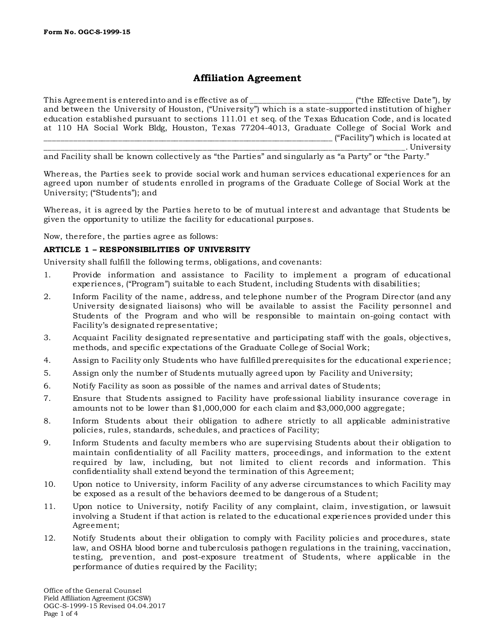# **Affiliation Agreement**

This Agreement is entered into and is effective as of  $\Box$  ("the Effective Date"), by and between the University of Houston, ("University") which is a state-supported institution of higher education established pursuant to sections 111.01 et seq. of the Texas Education Code, and is located at 110 HA Social Work Bldg, Houston, Texas 77204-4013, Graduate College of Social Work and  $\frac{1}{2}$  ("Facility") which is located at \_\_\_\_\_\_\_\_\_\_\_\_\_\_\_\_\_\_\_\_\_\_\_\_\_\_\_\_\_\_\_\_\_\_\_\_\_\_\_\_\_\_\_\_\_\_\_\_\_\_\_\_\_\_\_\_\_\_\_\_\_\_\_\_\_\_\_\_\_\_\_\_\_\_\_\_\_\_\_\_\_\_\_\_\_\_\_\_\_. University

and Facility shall be known collectively as "the Parties" and singularly as "a Party" or "the Party."

Whereas, the Parties seek to provide social work and human services educational experiences for an agreed upon number of students enrolled in programs of the Graduate College of Social Work at the University; ("Students"); and

Whereas, it is agreed by the Parties hereto to be of mutual interest and advantage that Students be given the opportunity to utilize the facility for educational purposes.

Now, therefore, the parties agree as follows:

# **ARTICLE 1 – RESPONSIBILITIES OF UNIVERSITY**

University shall fulfill the following terms, obligations, and covenants:

- 1. Provide information and assistance to Facility to implement a program of educational experiences, ("Program") suitable to each Student, including Students with disabilities;
- 2. Inform Facility of the name, address, and telephone number of the Program Director (and any University designated liaisons) who will be available to assist the Facility personnel and Students of the Program and who will be responsible to maintain on-going contact with Facility's designated representative;
- 3. Acquaint Facility designated representative and participating staff with the goals, objectives, methods, and specific expectations of the Graduate College of Social Work;
- 4. Assign to Facility only Students who have fulfilled prerequisites for the educational experience;
- 5. Assign only the number of Students mutually agreed upon by Facility and University;
- 6. Notify Facility as soon as possible of the names and arrival dates of Students;
- 7. Ensure that Students assigned to Facility have professional liability insurance coverage in amounts not to be lower than \$1,000,000 for each claim and \$3,000,000 aggregate;
- 8. Inform Students about their obligation to adhere strictly to all applicable administrative policies, rules, standards, schedules, and practices of Facility;
- 9. Inform Students and faculty members who are supervising Students about their obligation to maintain confidentiality of all Facility matters, proceedings, and information to the extent required by law, including, but not limited to client records and information. This confidentiality shall extend beyond the termination of this Agreement;
- 10. Upon notice to University, inform Facility of any adverse circumstances to which Facility may be exposed as a result of the behaviors deemed to be dangerous of a Student;
- 11. Upon notice to University, notify Facility of any complaint, claim, investigation, or lawsuit involving a Student if that action is related to the educational experiences provided under this Agreement;
- 12. Notify Students about their obligation to comply with Facility policies and procedures, state law, and OSHA blood borne and tuberculosis pathogen regulations in the training, vaccination, testing, prevention, and post-exposure treatment of Students, where applicable in the performance of duties required by the Facility;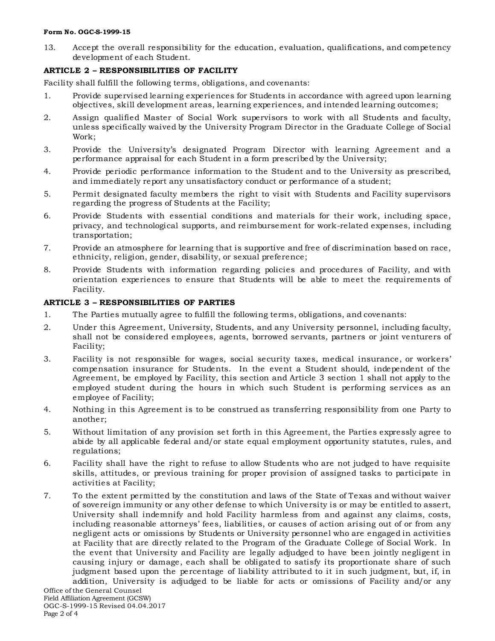#### **Form No. OGC-S-1999-15**

13. Accept the overall responsibility for the education, evaluation, qualifications, and competency development of each Student.

# **ARTICLE 2 – RESPONSIBILITIES OF FACILITY**

Facility shall fulfill the following terms, obligations, and covenants:

- 1. Provide supervised learning experiences for Students in accordance with agreed upon learning objectives, skill development areas, learning experiences, and intended learning outcomes;
- 2. Assign qualified Master of Social Work supervisors to work with all Students and faculty, unless specifically waived by the University Program Director in the Graduate College of Social Work;
- 3. Provide the University's designated Program Director with learning Agreement and a performance appraisal for each Student in a form prescribed by the University;
- 4. Provide periodic performance information to the Student and to the University as prescribed, and immediately report any unsatisfactory conduct or performance of a student;
- 5. Permit designated faculty members the right to visit with Students and Facility supervisors regarding the progress of Students at the Facility;
- 6. Provide Students with essential conditions and materials for their work, including space, privacy, and technological supports, and reimbursement for work-related expenses, including transportation;
- 7. Provide an atmosphere for learning that is supportive and free of discrimination based on race, ethnicity, religion, gender, disability, or sexual preference;
- 8. Provide Students with information regarding policies and procedures of Facility, and with orientation experiences to ensure that Students will be able to meet the requirements of Facility.

# **ARTICLE 3 – RESPONSIBILITIES OF PARTIES**

- 1. The Parties mutually agree to fulfill the following terms, obligations, and covenants:
- 2. Under this Agreement, University, Students, and any University personnel, including faculty, shall not be considered employees, agents, borrowed servants, partners or joint venturers of Facility;
- 3. Facility is not responsible for wages, social security taxes, medical insurance, or workers' compensation insurance for Students. In the event a Student should, independent of the Agreement, be employed by Facility, this section and Article 3 section 1 shall not apply to the employed student during the hours in which such Student is performing services as an employee of Facility;
- 4. Nothing in this Agreement is to be construed as transferring responsibility from one Party to another;
- 5. Without limitation of any provision set forth in this Agreement, the Parties expressly agree to abide by all applicable federal and/or state equal employment opportunity statutes, rules, and regulations;
- 6. Facility shall have the right to refuse to allow Students who are not judged to have requisite skills, attitudes, or previous training for proper provision of assigned tasks to participate in activities at Facility;
- 7. To the extent permitted by the constitution and laws of the State of Texas and without waiver of sovereign immunity or any other defense to which University is or may be entitled to assert, University shall indemnify and hold Facility harmless from and against any claims, costs, including reasonable attorneys' fees, liabilities, or causes of action arising out of or from any negligent acts or omissions by Students or University personnel who are engaged in activities at Facility that are directly related to the Program of the Graduate College of Social Work. In the event that University and Facility are legally adjudged to have been jointly negligent in causing injury or damage, each shall be obligated to satisfy its proportionate share of such judgment based upon the percentage of liability attributed to it in such judgment, but, if, in addition, University is adjudged to be liable for acts or omissions of Facility and/or any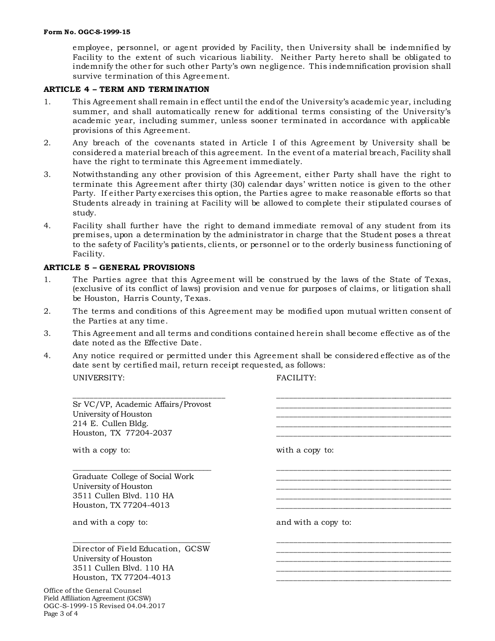employee, personnel, or agent provided by Facility, then University shall be indemnified by Facility to the extent of such vicarious liability. Neither Party hereto shall be obligated to indemnify the other for such other Party's own negligence. This indemnification provision shall survive termination of this Agreement.

#### **ARTICLE 4 – TERM AND TERM INATION**

- 1. This Agreement shall remain in effect until the end of the University's academic year, including summer, and shall automatically renew for additional terms consisting of the University's academic year, including summer, unless sooner terminated in accordance with applicable provisions of this Agreement.
- 2. Any breach of the covenants stated in Article I of this Agreement by University shall be considered a material breach of this agreement. In the event of a material breach, Facility shall have the right to terminate this Agreement immediately.
- 3. Notwithstanding any other provision of this Agreement, either Party shall have the right to terminate this Agreement after thirty (30) calendar days' written notice is given to the other Party. If either Party exercises this option, the Parties agree to make reasonable efforts so that Students already in training at Facility will be allowed to complete their stipulated courses of study.
- 4. Facility shall further have the right to demand immediate removal of any student from its premises, upon a determination by the administrator in charge that the Student poses a threat to the safety of Facility's patients, clients, or personnel or to the orderly business functioning of Facility.

#### **ARTICLE 5 – GENERAL PROVISIONS**

- 1. The Parties agree that this Agreement will be construed by the laws of the State of Texas, (exclusive of its conflict of laws) provision and venue for purposes of claims, or litigation shall be Houston, Harris County, Texas.
- 2. The terms and conditions of this Agreement may be modified upon mutual written consent of the Parties at any time.
- 3. This Agreement and all terms and conditions contained herein shall become effective as of the date noted as the Effective Date.
- 4. Any notice required or permitted under this Agreement shall be considered effective as of the date sent by certified mail, return receipt requested, as follows: UNIVERSITY: FACILITY:

| Sr VC/VP, Academic Affairs/Provost<br>University of Houston<br>214 E. Cullen Bldg.<br>Houston, TX 77204-2037           |                     |
|------------------------------------------------------------------------------------------------------------------------|---------------------|
| with a copy to:                                                                                                        | with a copy to:     |
| Graduate College of Social Work<br>University of Houston<br>3511 Cullen Blvd. 110 HA<br>Houston, TX 77204-4013         |                     |
| and with a copy to:                                                                                                    | and with a copy to: |
| Director of Field Education, GCSW<br>University of Houston<br>3511 Cullen Blvd. 110 HA<br>Houston, TX 77204-4013       |                     |
| Office of the General Counsel<br>Field Affiliation Agreement (GCSW)<br>OGC-S-1999-15 Revised 04.04.2017<br>Page 3 of 4 |                     |